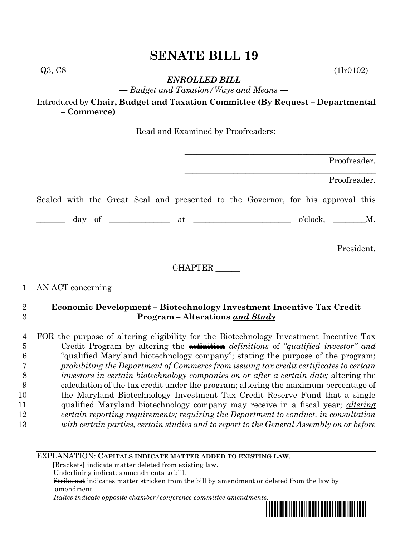## **SENATE BILL 19**

Q3, C8 (1lr0102)

*ENROLLED BILL*

*— Budget and Taxation/Ways and Means —*

Introduced by **Chair, Budget and Taxation Committee (By Request – Departmental – Commerce)**

Read and Examined by Proofreaders:

|                                                                                 |         | Proofreader. |
|---------------------------------------------------------------------------------|---------|--------------|
|                                                                                 |         | Proofreader. |
| Sealed with the Great Seal and presented to the Governor, for his approval this |         |              |
|                                                                                 |         |              |
|                                                                                 |         | President.   |
|                                                                                 |         |              |
|                                                                                 | CHAPTER |              |

## 1 AN ACT concerning

## 2 **Economic Development – Biotechnology Investment Incentive Tax Credit**  3 **Program – Alterations** *and Study*

|    | FOR the purpose of altering eligibility for the Biotechnology Investment Incentive Tax       |
|----|----------------------------------------------------------------------------------------------|
| Ð  | Credit Program by altering the definition <i>definitions</i> of "qualified investor" and     |
|    | "qualified Maryland biotechnology company"; stating the purpose of the program;              |
|    | prohibiting the Department of Commerce from issuing tax credit certificates to certain       |
|    | <i>investors in certain biotechnology companies on or after a certain date;</i> altering the |
| 9  | calculation of the tax credit under the program; altering the maximum percentage of          |
| 10 | the Maryland Biotechnology Investment Tax Credit Reserve Fund that a single                  |
| 11 | qualified Maryland biotechnology company may receive in a fiscal year; <i>altering</i>       |
| 12 | certain reporting requirements; requiring the Department to conduct, in consultation         |
| 13 | with certain parties, certain studies and to report to the General Assembly on or before     |

EXPLANATION: **CAPITALS INDICATE MATTER ADDED TO EXISTING LAW**.

 **[**Brackets**]** indicate matter deleted from existing law.

Underlining indicates amendments to bill.

 Strike out indicates matter stricken from the bill by amendment or deleted from the law by amendment.

 *Italics indicate opposite chamber/conference committee amendments.*

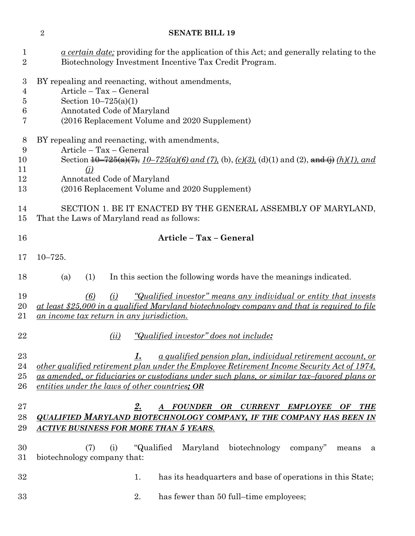# **SENATE BILL 19** *a certain date;* providing for the application of this Act; and generally relating to the Biotechnology Investment Incentive Tax Credit Program. BY repealing and reenacting, without amendments, Article – Tax – General Section 10–725(a)(1) Annotated Code of Maryland (2016 Replacement Volume and 2020 Supplement) BY repealing and reenacting, with amendments, Article – Tax – General Section 10–725(a)(7), *10–725(a)(6) and (7),* (b), *(c)(3),* (d)(1) and (2), and (j) *(h)(1), and (j)* Annotated Code of Maryland (2016 Replacement Volume and 2020 Supplement) SECTION 1. BE IT ENACTED BY THE GENERAL ASSEMBLY OF MARYLAND, That the Laws of Maryland read as follows: **Article – Tax – General** 10–725. (a) (1) In this section the following words have the meanings indicated. *(6) (i) "Qualified investor" means any individual or entity that invests at least \$25,000 in a qualified Maryland biotechnology company and that is required to file an income tax return in any jurisdiction. (ii) "Qualified investor" does not include: 1. a qualified pension plan, individual retirement account, or other qualified retirement plan under the Employee Retirement Income Security Act of 1974, as amended, or fiduciaries or custodians under such plans, or similar tax–favored plans or entities under the laws of other countries; OR 2. A FOUNDER OR CURRENT EMPLOYEE OF THE QUALIFIED MARYLAND BIOTECHNOLOGY COMPANY, IF THE COMPANY HAS BEEN IN ACTIVE BUSINESS FOR MORE THAN 5 YEARS.* (7) (i) "Qualified Maryland biotechnology company" means a biotechnology company that: 32 1. has its headquarters and base of operations in this State; 2. has fewer than 50 full–time employees;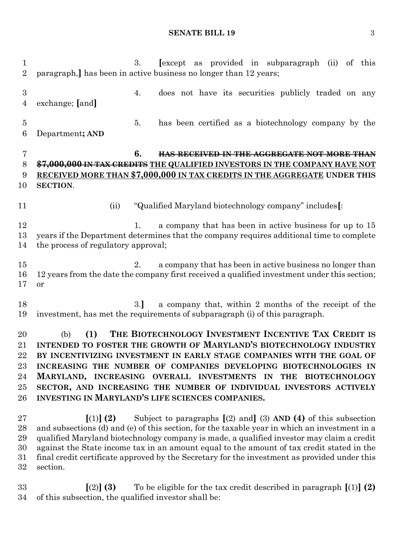### **SENATE BILL 19** 3

 3. **[**except as provided in subparagraph (ii) of this paragraph,**]** has been in active business no longer than 12 years; 4. does not have its securities publicly traded on any exchange; **[**and**]** 5. has been certified as a biotechnology company by the Department**; AND 6. HAS RECEIVED IN THE AGGREGATE NOT MORE THAN \$7,000,000 IN TAX CREDITS THE QUALIFIED INVESTORS IN THE COMPANY HAVE NOT RECEIVED MORE THAN \$7,000,000 IN TAX CREDITS IN THE AGGREGATE UNDER THIS SECTION**. (ii) "Qualified Maryland biotechnology company" includes**[**: 12 1. a company that has been in active business for up to 15 years if the Department determines that the company requires additional time to complete the process of regulatory approval; 2. a company that has been in active business no longer than 12 years from the date the company first received a qualified investment under this section; or 18 3.] a company that, within 2 months of the receipt of the investment, has met the requirements of subparagraph (i) of this paragraph. (b) **(1) THE BIOTECHNOLOGY INVESTMENT INCENTIVE TAX CREDIT IS INTENDED TO FOSTER THE GROWTH OF MARYLAND'S BIOTECHNOLOGY INDUSTRY BY INCENTIVIZING INVESTMENT IN EARLY STAGE COMPANIES WITH THE GOAL OF INCREASING THE NUMBER OF COMPANIES DEVELOPING BIOTECHNOLOGIES IN MARYLAND, INCREASING OVERALL INVESTMENTS IN THE BIOTECHNOLOGY SECTOR, AND INCREASING THE NUMBER OF INDIVIDUAL INVESTORS ACTIVELY INVESTING IN MARYLAND'S LIFE SCIENCES COMPANIES. [**(1)**] (2)** Subject to paragraphs **[**(2) and**]** (3) **AND (4)** of this subsection and subsections (d) and (e) of this section, for the taxable year in which an investment in a qualified Maryland biotechnology company is made, a qualified investor may claim a credit against the State income tax in an amount equal to the amount of tax credit stated in the final credit certificate approved by the Secretary for the investment as provided under this section.

 **[**(2)**] (3)** To be eligible for the tax credit described in paragraph **[**(1)**] (2)** of this subsection, the qualified investor shall be: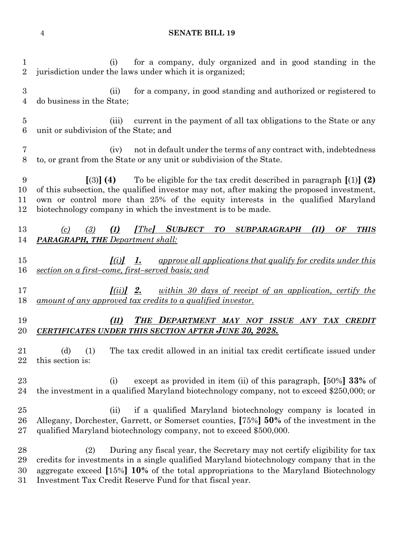### **SENATE BILL 19**

 (i) for a company, duly organized and in good standing in the jurisdiction under the laws under which it is organized; (ii) for a company, in good standing and authorized or registered to do business in the State; (iii) current in the payment of all tax obligations to the State or any unit or subdivision of the State; and (iv) not in default under the terms of any contract with, indebtedness to, or grant from the State or any unit or subdivision of the State. **[**(3)**] (4)** To be eligible for the tax credit described in paragraph **[**(1)**] (2)** of this subsection, the qualified investor may not, after making the proposed investment, own or control more than 25% of the equity interests in the qualified Maryland biotechnology company in which the investment is to be made. *(c) (3) (I) [The] SUBJECT TO SUBPARAGRAPH (II) OF THIS PARAGRAPH, THE Department shall: [(i)] 1. approve all applications that qualify for credits under this section on a first–come, first–served basis; and [(ii)] 2. within 30 days of receipt of an application, certify the amount of any approved tax credits to a qualified investor. (II) THE DEPARTMENT MAY NOT ISSUE ANY TAX CREDIT CERTIFICATES UNDER THIS SECTION AFTER JUNE 30, 2028.* (d) (1) The tax credit allowed in an initial tax credit certificate issued under this section is: (i) except as provided in item (ii) of this paragraph, **[**50%**] 33%** of the investment in a qualified Maryland biotechnology company, not to exceed \$250,000; or (ii) if a qualified Maryland biotechnology company is located in Allegany, Dorchester, Garrett, or Somerset counties, **[**75%**] 50%** of the investment in the qualified Maryland biotechnology company, not to exceed \$500,000. (2) During any fiscal year, the Secretary may not certify eligibility for tax credits for investments in a single qualified Maryland biotechnology company that in the aggregate exceed **[**15%**] 10%** of the total appropriations to the Maryland Biotechnology Investment Tax Credit Reserve Fund for that fiscal year.